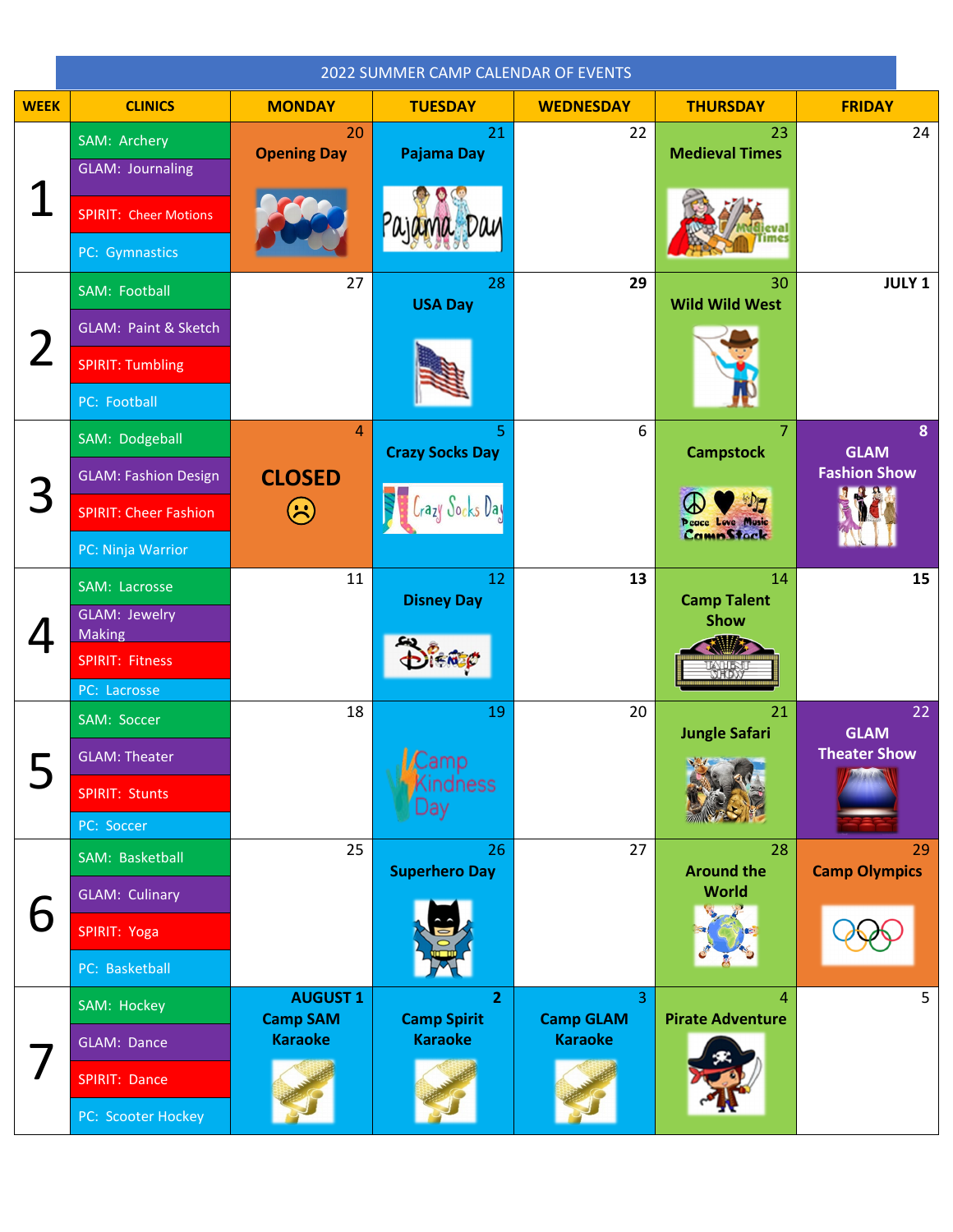|             | 2022 SUMMER CAMP CALENDAR OF EVENTS    |                                    |                                      |                                    |                                      |                                    |
|-------------|----------------------------------------|------------------------------------|--------------------------------------|------------------------------------|--------------------------------------|------------------------------------|
| <b>WEEK</b> | <b>CLINICS</b>                         | <b>MONDAY</b>                      | <b>TUESDAY</b>                       | <b>WEDNESDAY</b>                   | <b>THURSDAY</b>                      | <b>FRIDAY</b>                      |
|             | SAM: Archery                           | 20<br><b>Opening Day</b>           | 21<br>Pajama Day                     | 22                                 | 23<br><b>Medieval Times</b>          | 24                                 |
|             | <b>GLAM: Journaling</b>                |                                    |                                      |                                    |                                      |                                    |
|             | <b>SPIRIT: Cheer Motions</b>           |                                    |                                      |                                    |                                      |                                    |
|             | PC: Gymnastics                         |                                    |                                      |                                    |                                      |                                    |
|             | SAM: Football                          | 27                                 | 28<br><b>USA Day</b>                 | 29                                 | 30<br><b>Wild Wild West</b>          | <b>JULY 1</b>                      |
|             | GLAM: Paint & Sketch                   |                                    |                                      |                                    |                                      |                                    |
|             | <b>SPIRIT: Tumbling</b>                |                                    |                                      |                                    |                                      |                                    |
|             | PC: Football                           |                                    |                                      |                                    |                                      |                                    |
|             | SAM: Dodgeball                         | $\overline{4}$                     | 5<br><b>Crazy Socks Day</b>          | 6                                  | $\overline{7}$<br><b>Campstock</b>   | 8<br><b>GLAM</b>                   |
|             | <b>GLAM: Fashion Design</b>            | <b>CLOSED</b>                      |                                      |                                    |                                      | <b>Fashion Show</b>                |
|             | <b>SPIRIT: Cheer Fashion</b>           | $\left(\ddot{\sim}\right)$         | razy Jocks Vay                       |                                    | Peace Love Music<br><b>CampStock</b> |                                    |
|             | PC: Ninja Warrior                      |                                    |                                      |                                    |                                      |                                    |
|             | SAM: Lacrosse                          | 11                                 | 12<br><b>Disney Day</b>              | 13                                 | 14<br><b>Camp Talent</b>             | 15                                 |
|             | GLAM: Jewelry<br><b>Making</b>         |                                    |                                      |                                    | <b>Show</b>                          |                                    |
|             | <b>SPIRIT: Fitness</b><br>PC: Lacrosse |                                    |                                      |                                    | <b>AULIE</b>                         |                                    |
|             | SAM: Soccer                            | 18                                 | 19                                   | 20                                 | 21                                   | 22                                 |
|             | <b>GLAM: Theater</b>                   |                                    | Camp                                 |                                    | <b>Jungle Safari</b>                 | <b>GLAM</b><br><b>Theater Show</b> |
|             | SPIRIT: Stunts                         |                                    | indness                              |                                    |                                      |                                    |
|             | PC: Soccer                             |                                    | Jay                                  |                                    |                                      |                                    |
| b           | SAM: Basketball                        | 25                                 | 26<br><b>Superhero Day</b>           | 27                                 | 28<br><b>Around the</b>              | 29<br><b>Camp Olympics</b>         |
|             | <b>GLAM: Culinary</b>                  |                                    |                                      |                                    | World                                |                                    |
|             | SPIRIT: Yoga                           |                                    |                                      |                                    |                                      |                                    |
|             | PC: Basketball                         |                                    |                                      |                                    |                                      |                                    |
|             | SAM: Hockey                            | <b>AUGUST 1</b><br><b>Camp SAM</b> | $\overline{2}$<br><b>Camp Spirit</b> | $\overline{3}$<br><b>Camp GLAM</b> | 4<br><b>Pirate Adventure</b>         | 5                                  |
|             | GLAM: Dance                            | <b>Karaoke</b>                     | <b>Karaoke</b>                       | <b>Karaoke</b>                     |                                      |                                    |
|             | SPIRIT: Dance                          |                                    |                                      |                                    |                                      |                                    |
|             | PC: Scooter Hockey                     |                                    |                                      |                                    |                                      |                                    |